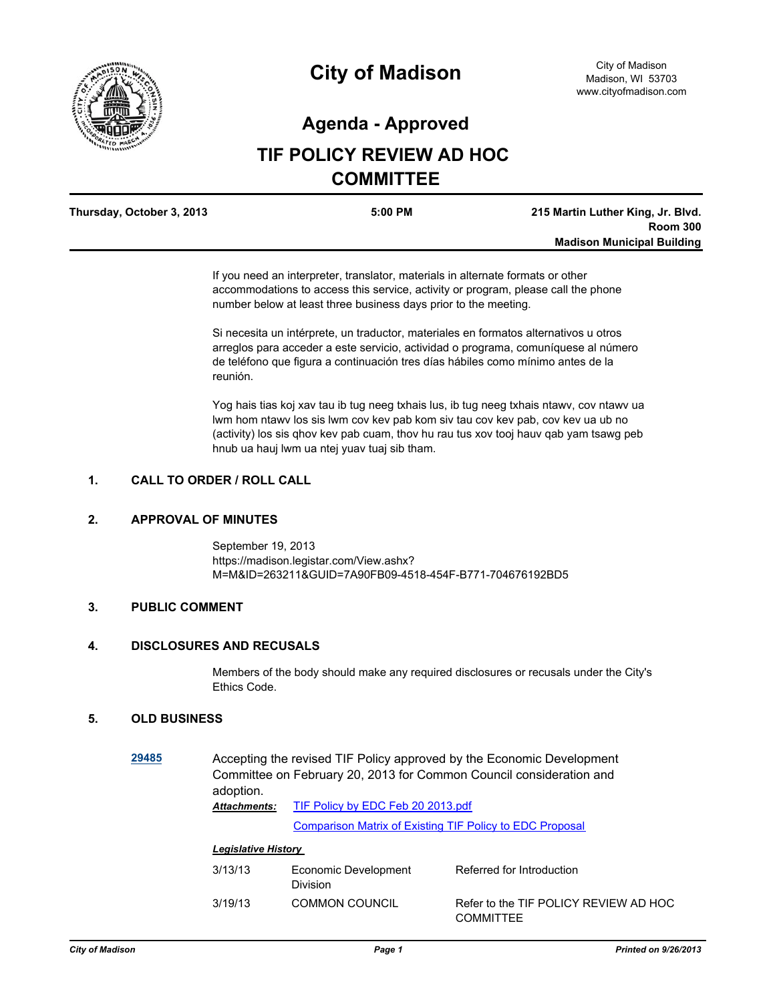

# **City of Madison**

### **Agenda - Approved**

## **TIF POLICY REVIEW AD HOC COMMITTEE**

| Thursday, October 3, 2013 | $5:00$ PM | 215 Martin Luther King, Jr. Blvd. |
|---------------------------|-----------|-----------------------------------|
|                           |           | <b>Room 300</b>                   |
|                           |           | <b>Madison Municipal Building</b> |

If you need an interpreter, translator, materials in alternate formats or other accommodations to access this service, activity or program, please call the phone number below at least three business days prior to the meeting.

Si necesita un intérprete, un traductor, materiales en formatos alternativos u otros arreglos para acceder a este servicio, actividad o programa, comuníquese al número de teléfono que figura a continuación tres días hábiles como mínimo antes de la reunión.

Yog hais tias koj xav tau ib tug neeg txhais lus, ib tug neeg txhais ntawv, cov ntawv ua lwm hom ntawv los sis lwm cov kev pab kom siv tau cov kev pab, cov kev ua ub no (activity) los sis qhov kev pab cuam, thov hu rau tus xov tooj hauv qab yam tsawg peb hnub ua hauj lwm ua ntej yuav tuaj sib tham.

#### **1. CALL TO ORDER / ROLL CALL**

#### **2. APPROVAL OF MINUTES**

September 19, 2013 https://madison.legistar.com/View.ashx? M=M&ID=263211&GUID=7A90FB09-4518-454F-B771-704676192BD5

#### **3. PUBLIC COMMENT**

#### **4. DISCLOSURES AND RECUSALS**

Members of the body should make any required disclosures or recusals under the City's Ethics Code.

#### **5. OLD BUSINESS**

**[29485](http://madison.legistar.com/gateway.aspx?m=l&id=/matter.aspx?key=32331)** Accepting the revised TIF Policy approved by the Economic Development Committee on February 20, 2013 for Common Council consideration and adoption. [TIF Policy by EDC Feb 20 2013.pdf](http://madison.legistar.com/gateway.aspx?M=F&ID=dbc3830e-0a60-4c90-8427-7ace027a339f.pdf) [Comparison Matrix of Existing TIF Policy to EDC Proposal](http://madison.legistar.com/LegislationDetail.aspx?ID=1452413&GUID=5FE6CDB3-394A-42E9-96B7-3B4D5F932C70&Options=ID|Text|&Search=30799) *Attachments:*

#### *Legislative History*

| 3/13/13 | Economic Development<br><b>Division</b> | Referred for Introduction                                 |
|---------|-----------------------------------------|-----------------------------------------------------------|
| 3/19/13 | <b>COMMON COUNCIL</b>                   | Refer to the TIF POLICY REVIEW AD HOC<br><b>COMMITTEE</b> |